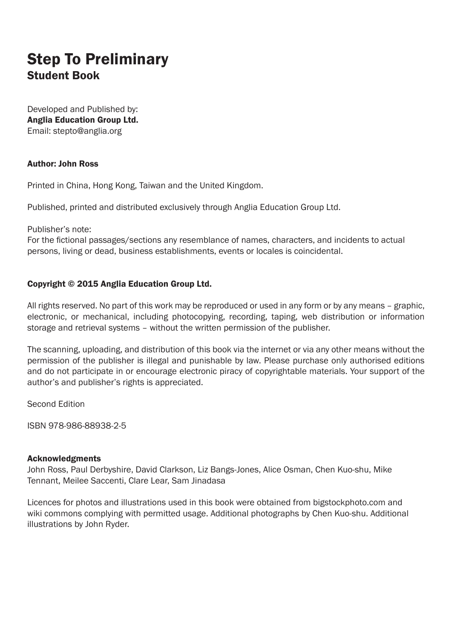# Step To Preliminary Student Book

Developed and Published by: Anglia Education Group Ltd. Email: stepto@anglia.org

### Author: John Ross

Printed in China, Hong Kong, Taiwan and the United Kingdom.

Published, printed and distributed exclusively through Anglia Education Group Ltd.

Publisher's note:

For the fictional passages/sections any resemblance of names, characters, and incidents to actual persons, living or dead, business establishments, events or locales is coincidental.

#### Copyright © 2015 Anglia Education Group Ltd.

All rights reserved. No part of this work may be reproduced or used in any form or by any means – graphic, electronic, or mechanical, including photocopying, recording, taping, web distribution or information storage and retrieval systems – without the written permission of the publisher.

The scanning, uploading, and distribution of this book via the internet or via any other means without the permission of the publisher is illegal and punishable by law. Please purchase only authorised editions and do not participate in or encourage electronic piracy of copyrightable materials. Your support of the author's and publisher's rights is appreciated.

Second Edition

ISBN 978-986-88938-2-5

#### Acknowledgments

John Ross, Paul Derbyshire, David Clarkson, Liz Bangs-Jones, Alice Osman, Chen Kuo-shu, Mike Tennant, Meilee Saccenti, Clare Lear, Sam Jinadasa

Licences for photos and illustrations used in this book were obtained from bigstockphoto.com and wiki commons complying with permitted usage. Additional photographs by Chen Kuo-shu. Additional illustrations by John Ryder.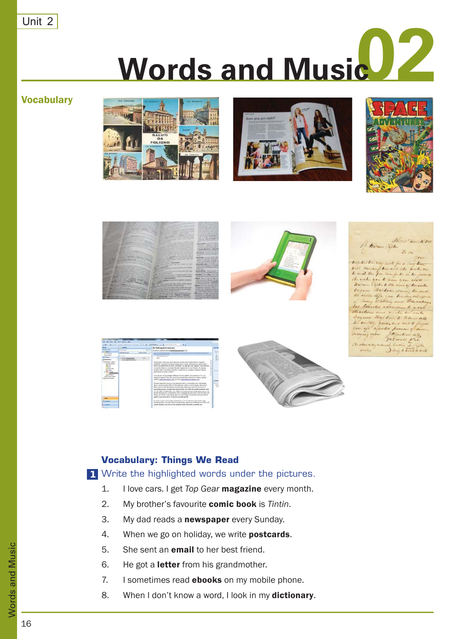Unit 2

# **Words and Music**

**Vocabulary** 















# **Vocabulary: Things We Read**

Write the highlighted words under the pictures. **1**

- 1. I love cars. I get *Top Gear* magazine every month.
- 2. My brother's favourite comic book is *Tintin*.
- 3. My dad reads a newspaper every Sunday.
- 4. When we go on holiday, we write **postcards**.
- 5. She sent an **email** to her best friend.
- 6. He got a **letter** from his grandmother.
- 7. I sometimes read **ebooks** on my mobile phone.
- 8. When I don't know a word, I look in my dictionary.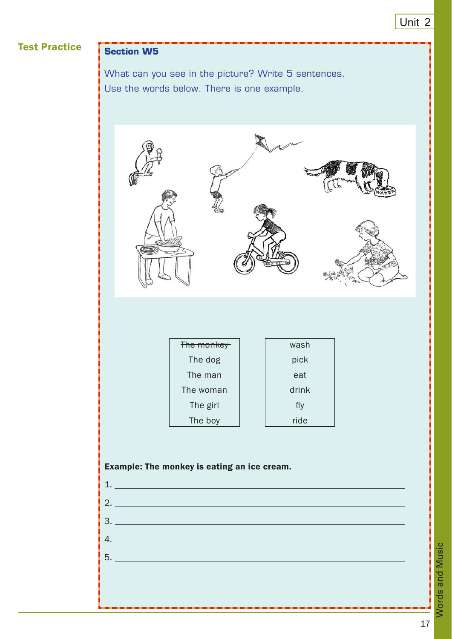# Test Practice **Section W5**

What can you see in the picture? Write 5 sentences. Use the words below. There is one example.



| The monkey | wash  |
|------------|-------|
| The dog    | pick  |
| The man    | eat   |
| The woman  | drink |
| The girl   | fly   |
| The boy    | ride  |

# Example: The monkey is eating an ice cream.

| 5. __________________________ |  |  |
|-------------------------------|--|--|
|                               |  |  |
|                               |  |  |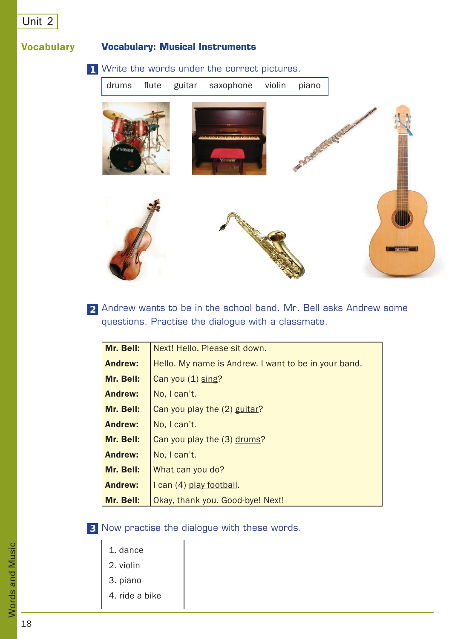# Unit 2

# **Vocabulary**

# **Vocabulary: Musical Instruments**

## Write the words under the correct pictures. **1**



Andrew wants to be in the school band. Mr. Bell asks Andrew some **2** questions. Practise the dialogue with a classmate.

| Mr. Bell:      | Next! Hello. Please sit down.                        |
|----------------|------------------------------------------------------|
| <b>Andrew:</b> | Hello. My name is Andrew. I want to be in your band. |
| Mr. Bell:      | Can you (1) sing?                                    |
| <b>Andrew:</b> | No, I can't.                                         |
| Mr. Bell:      | Can you play the (2) guitar?                         |
| <b>Andrew:</b> | No. I can't.                                         |
| Mr. Bell:      | Can you play the (3) drums?                          |
| <b>Andrew:</b> | No, I can't.                                         |
| Mr. Bell:      | What can you do?                                     |
| <b>Andrew:</b> | I can (4) play football.                             |
| Mr. Bell:      | Okay, thank you. Good-bye! Next!                     |

- Now practise the dialogue with these words. **3**
	- 1. dance
	- 2. violin
	- 3. piano
	- 4. ride a bike